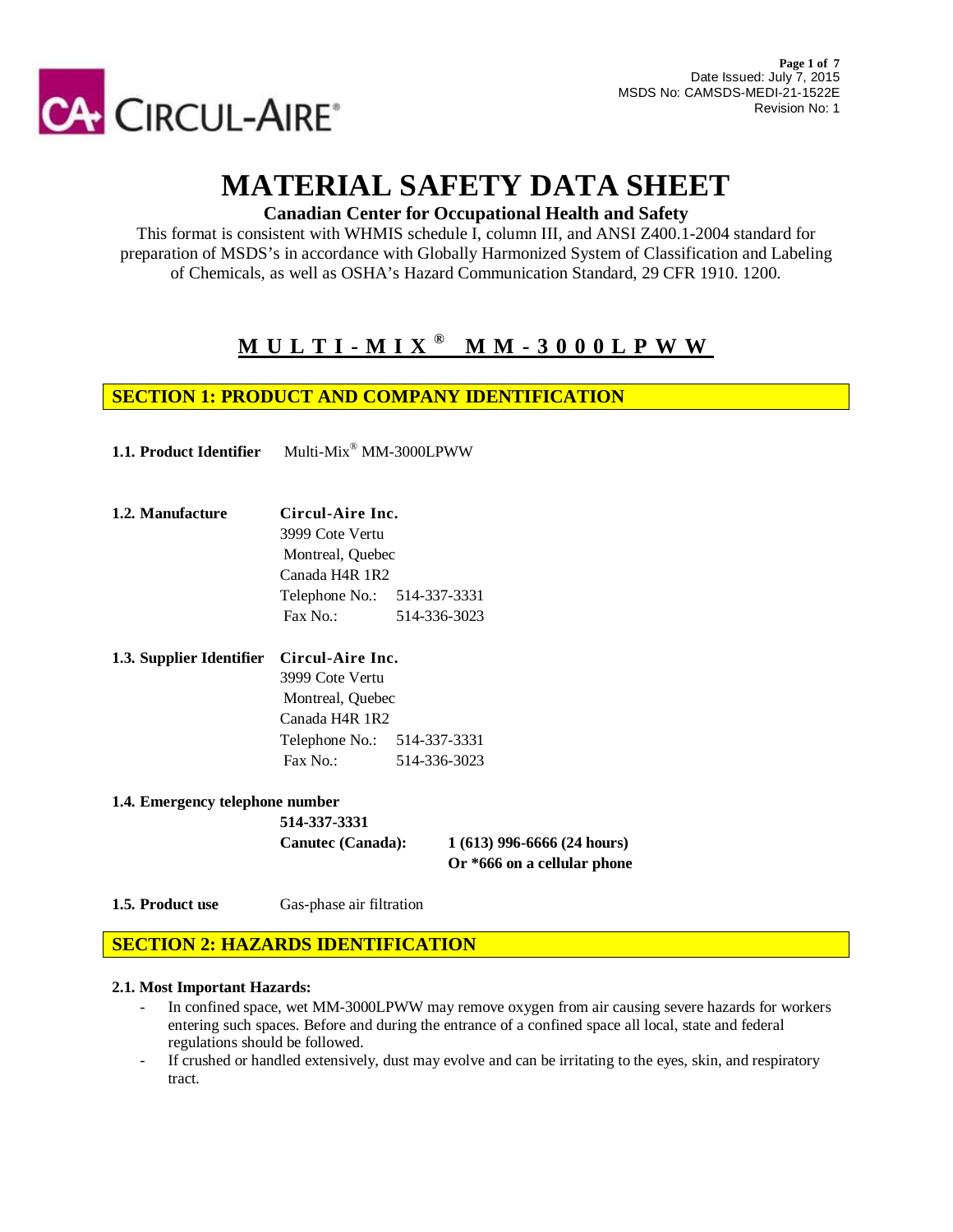

# **MATERIAL SAFETY DATA SHEET**

## **Canadian Center for Occupational Health and Safety**

This format is consistent with WHMIS schedule I, column III, and ANSI Z400.1-2004 standard for preparation of MSDS's in accordance with Globally Harmonized System of Classification and Labeling of Chemicals, as well as OSHA's Hazard Communication Standard, 29 CFR 1910. 1200.

## **M U L T I - M I X ® M M - 3 0 0 0 L P W W**

## **SECTION 1: PRODUCT AND COMPANY IDENTIFICATION**

**1.1. Product Identifier** Multi-Mix® MM-3000LPWW

- **1.2. Manufacture Circul-Aire Inc.** 3999 Cote Vertu Montreal, Quebec Canada H4R 1R2 Telephone No.: 514-337-3331 Fax No.: 514-336-3023
- **1.3. Supplier Identifier Circul-Aire Inc.** 3999 Cote Vertu Montreal, Quebec Canada H4R 1R2 Telephone No.: 514-337-3331 Fax No.: 514-336-3023
- **1.4. Emergency telephone number**

**514-337-3331**

**Canutec (Canada): 1 (613) 996-6666 (24 hours) Or \*666 on a cellular phone**

**1.5. Product use** Gas-phase air filtration

## **SECTION 2: HAZARDS IDENTIFICATION**

#### **2.1. Most Important Hazards:**

- In confined space, wet MM-3000LPWW may remove oxygen from air causing severe hazards for workers entering such spaces. Before and during the entrance of a confined space all local, state and federal regulations should be followed.
- If crushed or handled extensively, dust may evolve and can be irritating to the eyes, skin, and respiratory tract.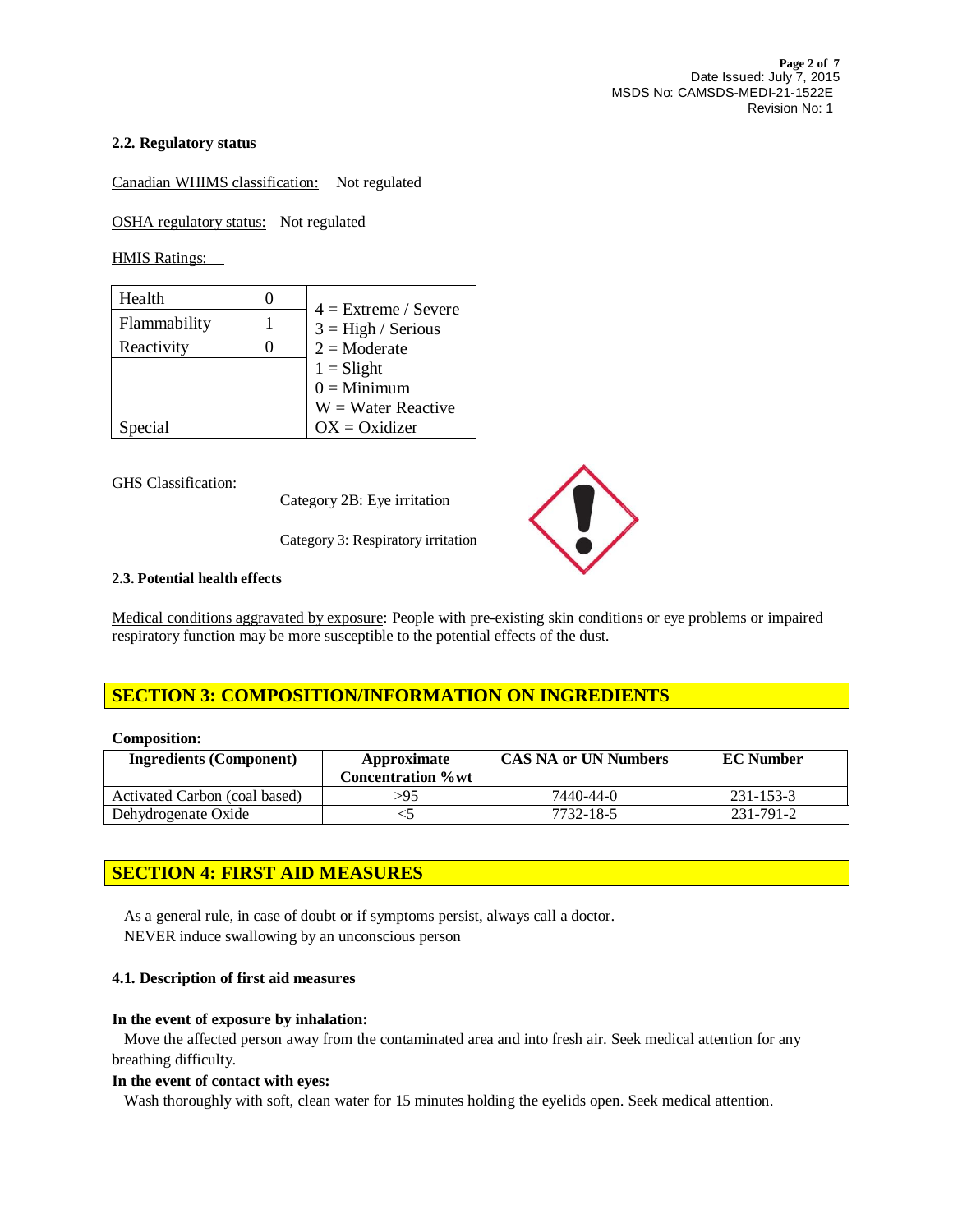#### **2.2. Regulatory status**

Canadian WHIMS classification: Not regulated

OSHA regulatory status: Not regulated

HMIS Ratings:

| Health       | $4 =$ Extreme / Severe |
|--------------|------------------------|
| Flammability | $3 = High / Series$    |
| Reactivity   | $2 = \text{Moderate}$  |
|              | $1 =$ Slight           |
|              | $0 =$ Minimum          |
|              | $W = Water$ Reactive   |
| Special      | $OX = Oxidizer$        |

GHS Classification:

Category 2B: Eye irritation

Category 3: Respiratory irritation



#### **2.3. Potential health effects**

Medical conditions aggravated by exposure: People with pre-existing skin conditions or eye problems or impaired respiratory function may be more susceptible to the potential effects of the dust.

## **SECTION 3: COMPOSITION/INFORMATION ON INGREDIENTS**

#### **Composition:**

| <b>Ingredients (Component)</b> | Approximate<br><b>Concentration</b> % wt | <b>CAS NA or UN Numbers</b> | <b>EC</b> Number |
|--------------------------------|------------------------------------------|-----------------------------|------------------|
| Activated Carbon (coal based)  | >95                                      | 7440-44-0                   | 231-153-3        |
| Dehydrogenate Oxide            |                                          | 7732-18-5                   | 231-791-2        |

## **SECTION 4: FIRST AID MEASURES**

 As a general rule, in case of doubt or if symptoms persist, always call a doctor. NEVER induce swallowing by an unconscious person

#### **4.1. Description of first aid measures**

#### **In the event of exposure by inhalation:**

Move the affected person away from the contaminated area and into fresh air. Seek medical attention for any breathing difficulty.

#### **In the event of contact with eyes:**

Wash thoroughly with soft, clean water for 15 minutes holding the eyelids open. Seek medical attention.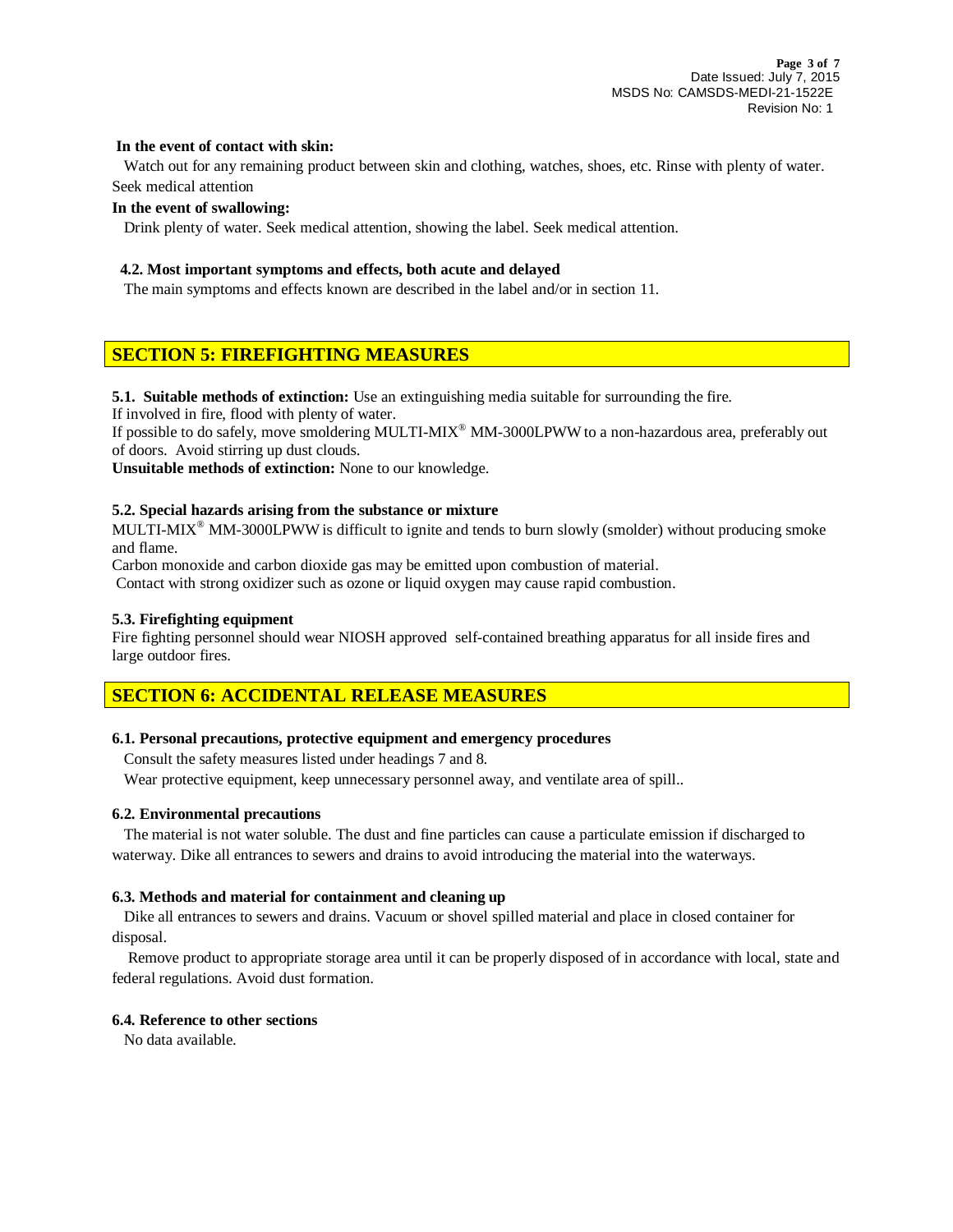#### **In the event of contact with skin:**

Watch out for any remaining product between skin and clothing, watches, shoes, etc. Rinse with plenty of water. Seek medical attention

#### **In the event of swallowing:**

Drink plenty of water. Seek medical attention, showing the label. Seek medical attention.

#### **4.2. Most important symptoms and effects, both acute and delayed**

The main symptoms and effects known are described in the label and/or in section 11.

## **SECTION 5: FIREFIGHTING MEASURES**

**5.1. Suitable methods of extinction:** Use an extinguishing media suitable for surrounding the fire.

If involved in fire, flood with plenty of water.

If possible to do safely, move smoldering MULTI-MIX® MM-3000LPWWto a non-hazardous area, preferably out of doors. Avoid stirring up dust clouds.

**Unsuitable methods of extinction:** None to our knowledge.

#### **5.2. Special hazards arising from the substance or mixture**

MULTI-MIX® MM-3000LPWWis difficult to ignite and tends to burn slowly (smolder) without producing smoke and flame.

Carbon monoxide and carbon dioxide gas may be emitted upon combustion of material.

Contact with strong oxidizer such as ozone or liquid oxygen may cause rapid combustion.

#### **5.3. Firefighting equipment**

Fire fighting personnel should wear NIOSH approved self-contained breathing apparatus for all inside fires and large outdoor fires.

#### **SECTION 6: ACCIDENTAL RELEASE MEASURES**

#### **6.1. Personal precautions, protective equipment and emergency procedures**

Consult the safety measures listed under headings 7 and 8.

Wear protective equipment, keep unnecessary personnel away, and ventilate area of spill..

#### **6.2. Environmental precautions**

The material is not water soluble. The dust and fine particles can cause a particulate emission if discharged to waterway. Dike all entrances to sewers and drains to avoid introducing the material into the waterways.

#### **6.3. Methods and material for containment and cleaning up**

 Dike all entrances to sewers and drains. Vacuum or shovel spilled material and place in closed container for disposal.

 Remove product to appropriate storage area until it can be properly disposed of in accordance with local, state and federal regulations. Avoid dust formation.

#### **6.4. Reference to other sections**

No data available.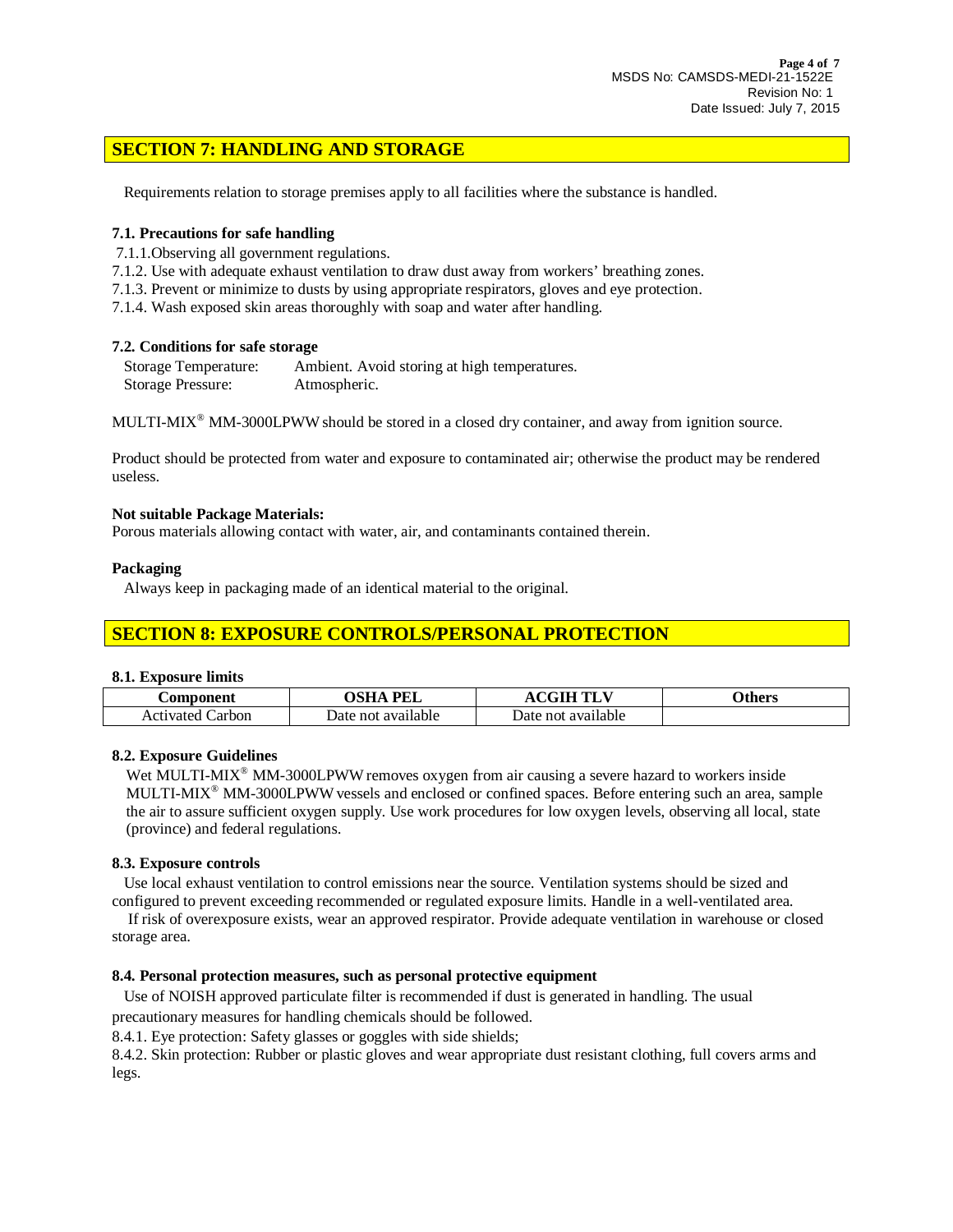## **SECTION 7: HANDLING AND STORAGE**

Requirements relation to storage premises apply to all facilities where the substance is handled.

#### **7.1. Precautions for safe handling**

7.1.1.Observing all government regulations.

- 7.1.2. Use with adequate exhaust ventilation to draw dust away from workers' breathing zones.
- 7.1.3. Prevent or minimize to dusts by using appropriate respirators, gloves and eye protection.
- 7.1.4. Wash exposed skin areas thoroughly with soap and water after handling.

#### **7.2. Conditions for safe storage**

| Storage Temperature: | Ambient. Avoid storing at high temperatures. |
|----------------------|----------------------------------------------|
| Storage Pressure:    | Atmospheric.                                 |

MULTI-MIX® MM-3000LPWWshould be stored in a closed dry container, and away from ignition source.

Product should be protected from water and exposure to contaminated air; otherwise the product may be rendered useless.

#### **Not suitable Package Materials:**

Porous materials allowing contact with water, air, and contaminants contained therein.

#### **Packaging**

Always keep in packaging made of an identical material to the original.

## **SECTION 8: EXPOSURE CONTROLS/PERSONAL PROTECTION**

#### **8.1. Exposure limits**

| <b>Component</b>    | PEL<br>лси         | $\alpha$ $\alpha$ the theory $\alpha$ | <b>Others</b> |
|---------------------|--------------------|---------------------------------------|---------------|
| ∶arbon<br>Activated | Date not available | Date not available                    |               |

#### **8.2. Exposure Guidelines**

Wet MULTI-MIX<sup>®</sup> MM-3000LPWW removes oxygen from air causing a severe hazard to workers inside MULTI-MIX® MM-3000LPWWvessels and enclosed or confined spaces. Before entering such an area, sample the air to assure sufficient oxygen supply. Use work procedures for low oxygen levels, observing all local, state (province) and federal regulations.

#### **8.3. Exposure controls**

 Use local exhaust ventilation to control emissions near the source. Ventilation systems should be sized and configured to prevent exceeding recommended or regulated exposure limits. Handle in a well-ventilated area.

 If risk of overexposure exists, wear an approved respirator. Provide adequate ventilation in warehouse or closed storage area.

#### **8.4. Personal protection measures, such as personal protective equipment**

Use of NOISH approved particulate filter is recommended if dust is generated in handling. The usual

precautionary measures for handling chemicals should be followed.

8.4.1. Eye protection: Safety glasses or goggles with side shields;

8.4.2. Skin protection: Rubber or plastic gloves and wear appropriate dust resistant clothing, full covers arms and legs.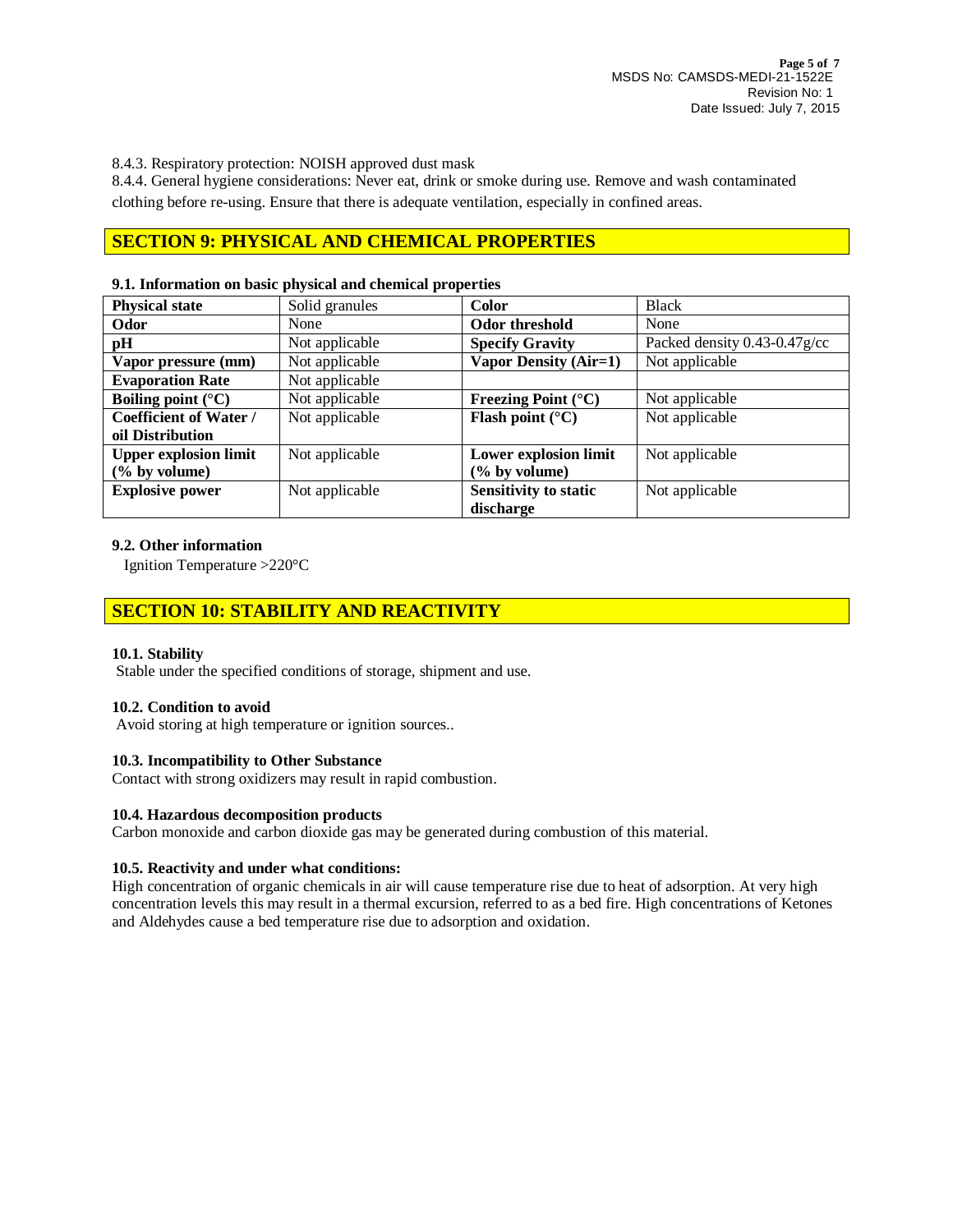8.4.3. Respiratory protection: NOISH approved dust mask

8.4.4. General hygiene considerations: Never eat, drink or smoke during use. Remove and wash contaminated clothing before re-using. Ensure that there is adequate ventilation, especially in confined areas.

## **SECTION 9: PHYSICAL AND CHEMICAL PROPERTIES**

#### **9.1. Information on basic physical and chemical properties**

| <b>Physical state</b>         | Solid granules | Color                        | <b>Black</b>                      |
|-------------------------------|----------------|------------------------------|-----------------------------------|
| Odor                          | None           | Odor threshold               | None                              |
| pH                            | Not applicable | <b>Specify Gravity</b>       | Packed density $0.43 - 0.47$ g/cc |
| Vapor pressure (mm)           | Not applicable | <b>Vapor Density (Air=1)</b> | Not applicable                    |
| <b>Evaporation Rate</b>       | Not applicable |                              |                                   |
| Boiling point $(^{\circ}C)$   | Not applicable | Freezing Point $(^{\circ}C)$ | Not applicable                    |
| <b>Coefficient of Water /</b> | Not applicable | Flash point $(^{\circ}C)$    | Not applicable                    |
| oil Distribution              |                |                              |                                   |
| <b>Upper explosion limit</b>  | Not applicable | Lower explosion limit        | Not applicable                    |
| $(\%$ by volume)              |                | $(\%$ by volume)             |                                   |
| <b>Explosive power</b>        | Not applicable | <b>Sensitivity to static</b> | Not applicable                    |
|                               |                | discharge                    |                                   |

#### **9.2. Other information**

Ignition Temperature >220°C

## **SECTION 10: STABILITY AND REACTIVITY**

#### **10.1. Stability**

Stable under the specified conditions of storage, shipment and use.

#### **10.2. Condition to avoid**

Avoid storing at high temperature or ignition sources..

#### **10.3. Incompatibility to Other Substance**

Contact with strong oxidizers may result in rapid combustion.

#### **10.4. Hazardous decomposition products**

Carbon monoxide and carbon dioxide gas may be generated during combustion of this material.

#### **10.5. Reactivity and under what conditions:**

High concentration of organic chemicals in air will cause temperature rise due to heat of adsorption. At very high concentration levels this may result in a thermal excursion, referred to as a bed fire. High concentrations of Ketones and Aldehydes cause a bed temperature rise due to adsorption and oxidation.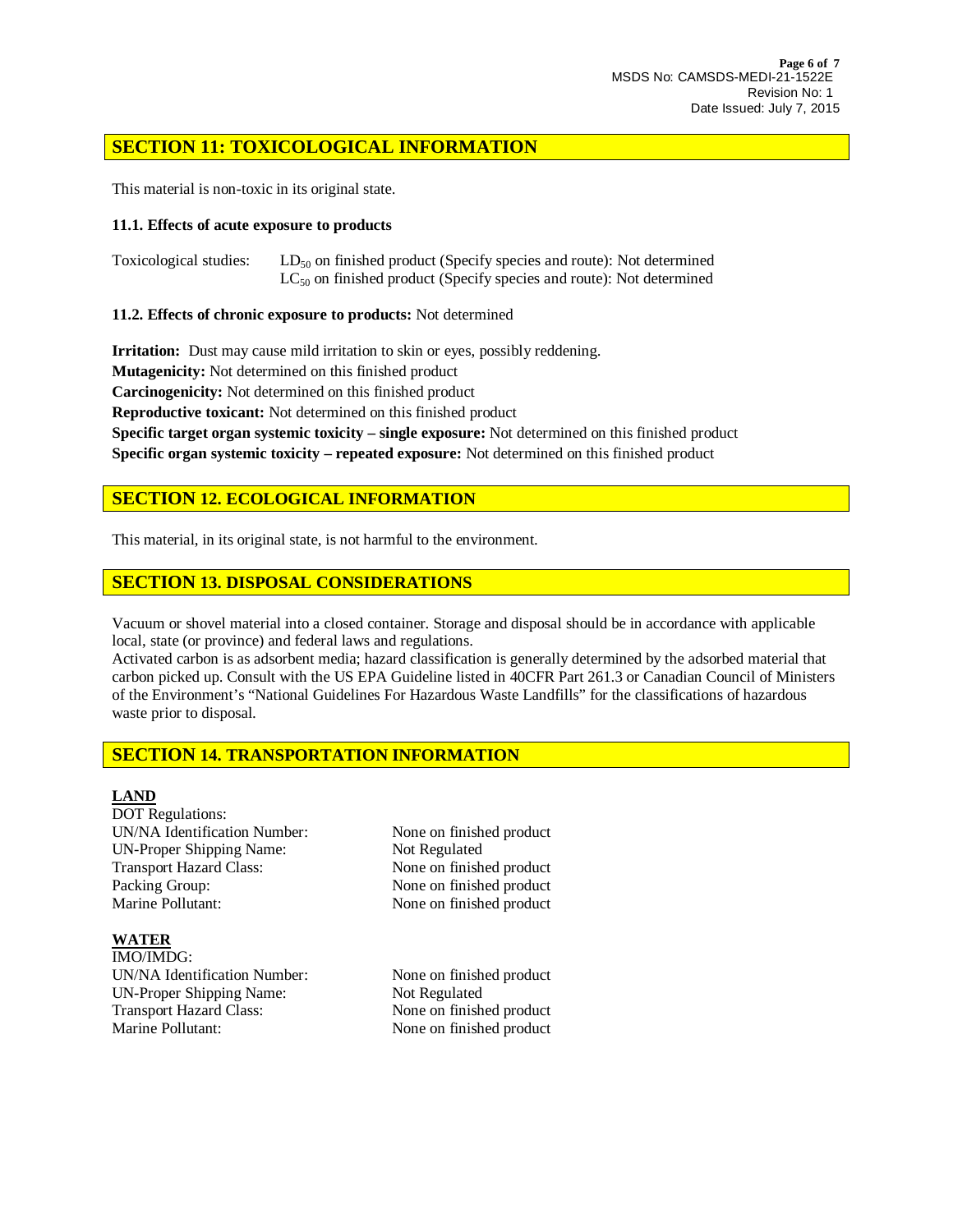## **SECTION 11: TOXICOLOGICAL INFORMATION**

This material is non-toxic in its original state.

#### **11.1. Effects of acute exposure to products**

Toxicological studies: LD<sub>50</sub> on finished product (Specify species and route): Not determined  $LC_{50}$  on finished product (Specify species and route): Not determined

#### **11.2. Effects of chronic exposure to products:** Not determined

**Irritation:** Dust may cause mild irritation to skin or eyes, possibly reddening.

**Mutagenicity:** Not determined on this finished product

**Carcinogenicity:** Not determined on this finished product

**Reproductive toxicant:** Not determined on this finished product

**Specific target organ systemic toxicity – single exposure:** Not determined on this finished product **Specific organ systemic toxicity – repeated exposure:** Not determined on this finished product

## **SECTION 12. ECOLOGICAL INFORMATION**

This material, in its original state, is not harmful to the environment.

## **SECTION 13. DISPOSAL CONSIDERATIONS**

Vacuum or shovel material into a closed container. Storage and disposal should be in accordance with applicable local, state (or province) and federal laws and regulations.

Activated carbon is as adsorbent media; hazard classification is generally determined by the adsorbed material that carbon picked up. Consult with the US EPA Guideline listed in 40CFR Part 261.3 or Canadian Council of Ministers of the Environment's "National Guidelines For Hazardous Waste Landfills" for the classifications of hazardous waste prior to disposal.

## **SECTION 14. TRANSPORTATION INFORMATION**

#### **LAND**

DOT Regulations: UN/NA Identification Number: None on finished product UN-Proper Shipping Name: Not Regulated Transport Hazard Class: None on finished product Packing Group: None on finished product Marine Pollutant: None on finished product

#### **WATER**

IMO/IMDG: UN/NA Identification Number: None on finished product UN-Proper Shipping Name: Not Regulated Transport Hazard Class: None on finished product Marine Pollutant: None on finished product